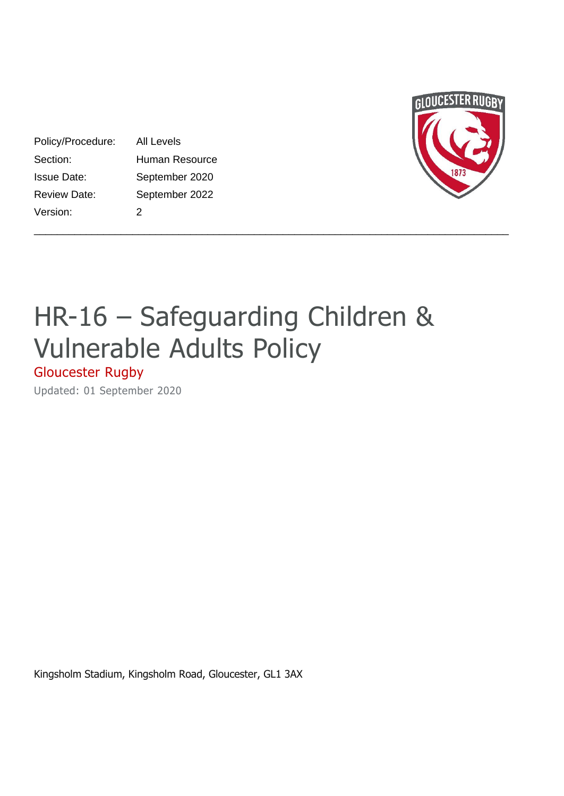| GLOUCESTER RUGBY |
|------------------|
|                  |
|                  |
|                  |
| 1873             |
|                  |

# HR-16 – Safeguarding Children & Vulnerable Adults Policy

\_\_\_\_\_\_\_\_\_\_\_\_\_\_\_\_\_\_\_\_\_\_\_\_\_\_\_\_\_\_\_\_\_\_\_\_\_\_\_\_\_\_\_\_\_\_\_\_\_\_\_\_\_\_\_\_\_\_\_\_\_\_\_\_\_\_\_\_\_\_\_\_\_\_\_\_\_\_\_\_\_\_

# Gloucester Rugby

Updated: 01 September 2020

Policy/Procedure: All Levels

Version: 2

Section: Human Resource Issue Date: September 2020 Review Date: September 2022

Kingsholm Stadium, Kingsholm Road, Gloucester, GL1 3AX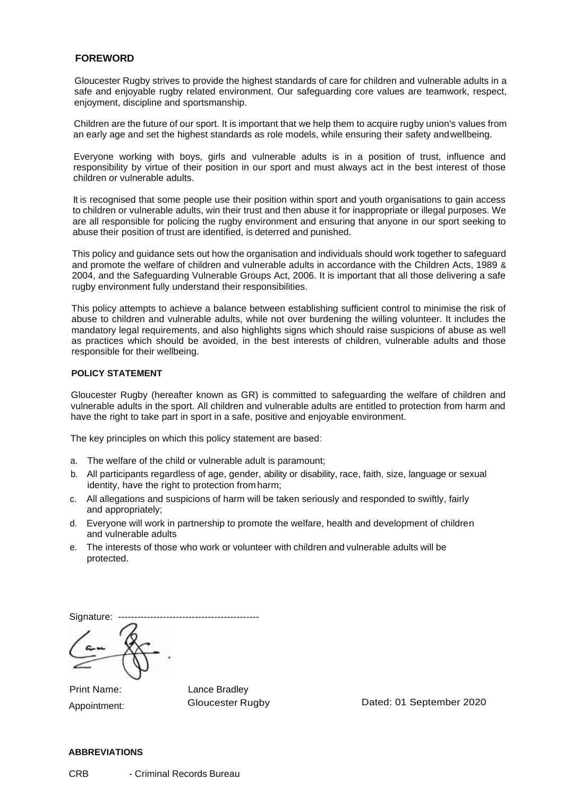# **FOREWORD**

Gloucester Rugby strives to provide the highest standards of care for children and vulnerable adults in a safe and enjoyable rugby related environment. Our safeguarding core values are teamwork, respect, enjoyment, discipline and sportsmanship.

Children are the future of our sport. It is important that we help them to acquire rugby union's values from an early age and set the highest standards as role models, while ensuring their safety andwellbeing.

Everyone working with boys, girls and vulnerable adults is in a position of trust, influence and responsibility by virtue of their position in our sport and must always act in the best interest of those children or vulnerable adults.

It is recognised that some people use their position within sport and youth organisations to gain access to children or vulnerable adults, win their trust and then abuse it for inappropriate or illegal purposes. We are all responsible for policing the rugby environment and ensuring that anyone in our sport seeking to abuse their position of trust are identified, is deterred and punished.

This policy and guidance sets out how the organisation and individuals should work together to safeguard and promote the welfare of children and vulnerable adults in accordance with the Children Acts, 1989 & 2004, and the Safeguarding Vulnerable Groups Act, 2006. It is important that all those delivering a safe rugby environment fully understand their responsibilities.

This policy attempts to achieve a balance between establishing sufficient control to minimise the risk of abuse to children and vulnerable adults, while not over burdening the willing volunteer. It includes the mandatory legal requirements, and also highlights signs which should raise suspicions of abuse as well as practices which should be avoided, in the best interests of children, vulnerable adults and those responsible for their wellbeing.

#### **POLICY STATEMENT**

Gloucester Rugby (hereafter known as GR) is committed to safeguarding the welfare of children and vulnerable adults in the sport. All children and vulnerable adults are entitled to protection from harm and have the right to take part in sport in a safe, positive and enjoyable environment.

The key principles on which this policy statement are based:

- a. The welfare of the child or vulnerable adult is paramount;
- b. All participants regardless of age, gender, ability or disability, race, faith, size, language or sexual identity, have the right to protection from harm;
- c. All allegations and suspicions of harm will be taken seriously and responded to swiftly, fairly and appropriately;
- d. Everyone will work in partnership to promote the welfare, health and development of children and vulnerable adults
- e. The interests of those who work or volunteer with children and vulnerable adults will be protected.

Signature: --------------------------------------------

Print Name: Appointment: Lance Bradley

Gloucester Rugby Dated: 01 September 2020

# **ABBREVIATIONS**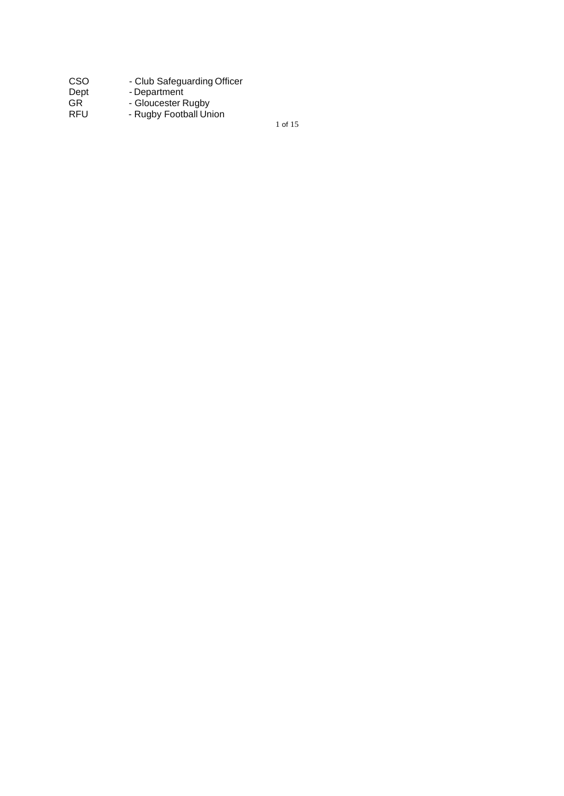| CSO        | - Club Safeguarding Officer |
|------------|-----------------------------|
| Dept       | - Department                |
| GR.        | - Gloucester Rugby          |
| <b>RFU</b> | - Rugby Football Union      |

1 of 15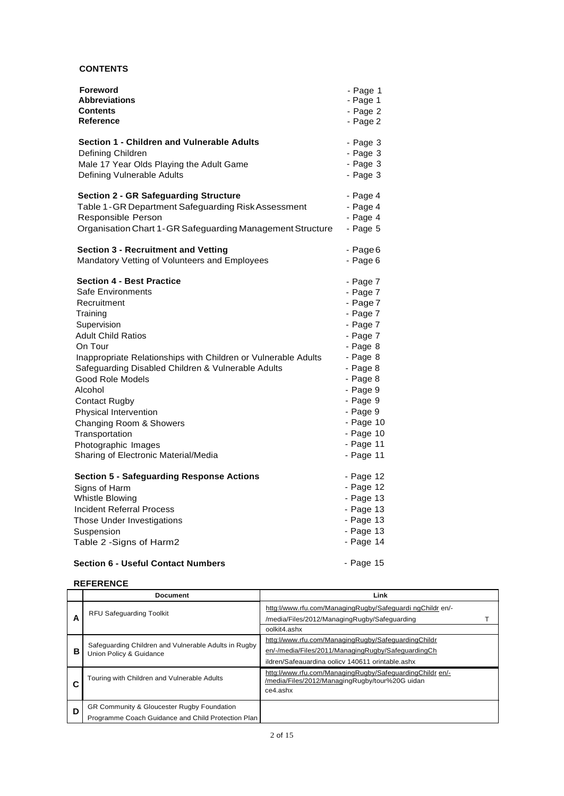# **CONTENTS**

| Foreword                                                       | - Page 1     |
|----------------------------------------------------------------|--------------|
| <b>Abbreviations</b>                                           | - Page 1     |
| Contents                                                       | - Page 2     |
| <b>Reference</b>                                               | - Page 2     |
| Section 1 - Children and Vulnerable Adults                     | - Page 3     |
| Defining Children                                              | - Page 3     |
| Male 17 Year Olds Playing the Adult Game                       | $-$ Page 3   |
| Defining Vulnerable Adults                                     | $-$ Page 3   |
| <b>Section 2 - GR Safeguarding Structure</b>                   | - Page 4     |
| Table 1-GR Department Safeguarding Risk Assessment             | - Page 4     |
| Responsible Person                                             | - Page 4     |
| Organisation Chart 1-GR Safeguarding Management Structure      | $-$ Page $5$ |
| <b>Section 3 - Recruitment and Vetting</b>                     | - Page 6     |
| Mandatory Vetting of Volunteers and Employees                  | - Page 6     |
| <b>Section 4 - Best Practice</b>                               | - Page 7     |
| <b>Safe Environments</b>                                       | - Page 7     |
| Recruitment                                                    | - Page 7     |
| Training                                                       | - Page 7     |
| Supervision                                                    | - Page 7     |
| <b>Adult Child Ratios</b>                                      | - Page 7     |
| On Tour                                                        | - Page 8     |
| Inappropriate Relationships with Children or Vulnerable Adults | - Page 8     |
| Safeguarding Disabled Children & Vulnerable Adults             | - Page 8     |
| Good Role Models                                               | - Page 8     |
| Alcohol                                                        | - Page 9     |
| <b>Contact Rugby</b>                                           | - Page 9     |
| Physical Intervention                                          | - Page 9     |
| Changing Room & Showers                                        | - Page 10    |
| Transportation                                                 | - Page 10    |
| Photographic Images                                            | - Page 11    |
| Sharing of Electronic Material/Media                           | - Page 11    |
| Section 5 - Safeguarding Response Actions                      | - Page 12    |
| Signs of Harm                                                  | $-$ Page 12  |
| Whistle Blowing                                                | - Page 13    |
| Incident Referral Process                                      | - Page 13    |
| Those Under Investigations                                     | $-$ Page 13  |
| Suspension                                                     | $-$ Page 13  |
| Table 2 - Signs of Harm2                                       | - Page 14    |

# **Section 6 - Useful Contact Numbers**

- Page 15

# **REFERENCE**

|   | <b>Document</b>                                                                                                                                                       | Link                                                                                                                                                          |
|---|-----------------------------------------------------------------------------------------------------------------------------------------------------------------------|---------------------------------------------------------------------------------------------------------------------------------------------------------------|
| A | <b>RFU Safequarding Toolkit</b>                                                                                                                                       | httg://www.rfu.com/ManagingRugby/Safeguardi ngChildr en/-<br>/media/Files/2012/ManagingRugby/Safeguarding<br>oolkit4.ashx                                     |
| в | Safeguarding Children and Vulnerable Adults in Rugby<br>Union Policy & Guidance                                                                                       | httg://www.rfu.com/ManagingRugby/SafeguardingChildr<br>en/-/media/Files/2011/ManagingRugby/SafeguardingCh<br>ildren/Safeauardina oolicy 140611 orintable.ashx |
|   | httg://www.rfu.com/ManagingRugby/SafeguardingChildr en/-<br>Touring with Children and Vulnerable Adults<br>/media/Files/2012/ManagingRugby/tour%20G uidan<br>ce4.ashx |                                                                                                                                                               |
| D | GR Community & Gloucester Rugby Foundation<br>Programme Coach Guidance and Child Protection Plan                                                                      |                                                                                                                                                               |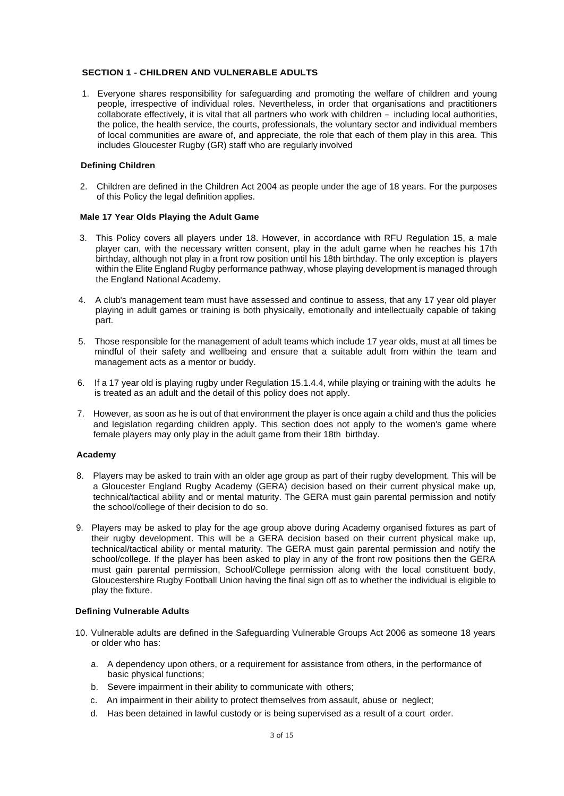#### **SECTION 1 - CHILDREN AND VULNERABLE ADULTS**

1. Everyone shares responsibility for safeguarding and promoting the welfare of children and young people, irrespective of individual roles. Nevertheless, in order that organisations and practitioners collaborate effectively, it is vital that all partners who work with children - including local authorities, the police, the health service, the courts, professionals, the voluntary sector and individual members of local communities are aware of, and appreciate, the role that each of them play in this area. This includes Gloucester Rugby (GR) staff who are regularly involved

#### **Defining Children**

2. Children are defined in the Children Act 2004 as people under the age of 18 years. For the purposes of this Policy the legal definition applies.

#### **Male 17 Year Olds Playing the Adult Game**

- 3. This Policy covers all players under 18. However, in accordance with RFU Regulation 15, a male player can, with the necessary written consent, play in the adult game when he reaches his 17th birthday, although not play in a front row position until his 18th birthday. The only exception is players within the Elite England Rugby performance pathway, whose playing development is managed through the England National Academy.
- 4. A club's management team must have assessed and continue to assess, that any 17 year old player playing in adult games or training is both physically, emotionally and intellectually capable of taking part.
- 5. Those responsible for the management of adult teams which include 17 year olds, must at all times be mindful of their safety and wellbeing and ensure that a suitable adult from within the team and management acts as a mentor or buddy.
- 6. If a 17 year old is playing rugby under Regulation 15.1.4.4, while playing or training with the adults he is treated as an adult and the detail of this policy does not apply.
- 7. However, as soon as he is out of that environment the player is once again a child and thus the policies and legislation regarding children apply. This section does not apply to the women's game where female players may only play in the adult game from their 18th birthday.

#### **Academy**

- 8. Players may be asked to train with an older age group as part of their rugby development. This will be a Gloucester England Rugby Academy (GERA) decision based on their current physical make up, technical/tactical ability and or mental maturity. The GERA must gain parental permission and notify the school/college of their decision to do so.
- 9. Players may be asked to play for the age group above during Academy organised fixtures as part of their rugby development. This will be a GERA decision based on their current physical make up, technical/tactical ability or mental maturity. The GERA must gain parental permission and notify the school/college. If the player has been asked to play in any of the front row positions then the GERA must gain parental permission, School/College permission along with the local constituent body, Gloucestershire Rugby Football Union having the final sign off as to whether the individual is eligible to play the fixture.

#### **Defining Vulnerable Adults**

- 10. Vulnerable adults are defined in the Safeguarding Vulnerable Groups Act 2006 as someone 18 years or older who has:
	- a. A dependency upon others, or a requirement for assistance from others, in the performance of basic physical functions;
	- b. Severe impairment in their ability to communicate with others;
	- c. An impairment in their ability to protect themselves from assault, abuse or neglect;
	- d. Has been detained in lawful custody or is being supervised as a result of a court order.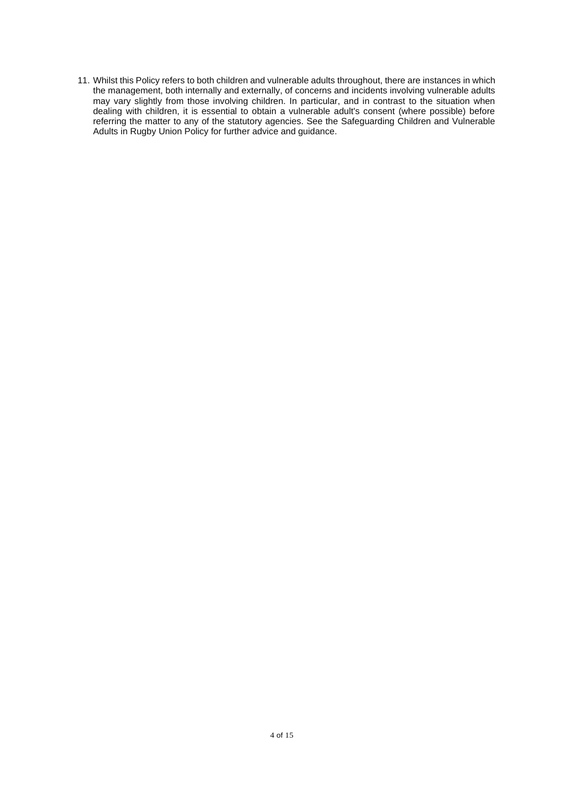11. Whilst this Policy refers to both children and vulnerable adults throughout, there are instances in which the management, both internally and externally, of concerns and incidents involving vulnerable adults may vary slightly from those involving children. In particular, and in contrast to the situation when dealing with children, it is essential to obtain a vulnerable adult's consent (where possible) before referring the matter to any of the statutory agencies. See the Safeguarding Children and Vulnerable Adults in Rugby Union Policy for further advice and guidance.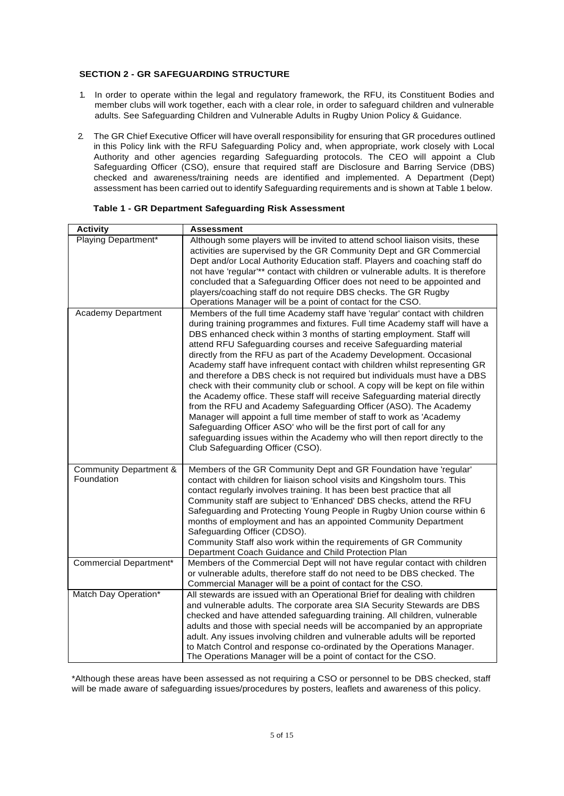# **SECTION 2 - GR SAFEGUARDING STRUCTURE**

- 1. In order to operate within the legal and regulatory framework, the RFU, its Constituent Bodies and member clubs will work together, each with a clear role, in order to safeguard children and vulnerable adults. See Safeguarding Children and Vulnerable Adults in Rugby Union Policy & Guidance.
- 2. The GR Chief Executive Officer will have overall responsibility for ensuring that GR procedures outlined in this Policy link with the RFU Safeguarding Policy and, when appropriate, work closely with Local Authority and other agencies regarding Safeguarding protocols. The CEO will appoint a Club Safeguarding Officer (CSO), ensure that required staff are Disclosure and Barring Service (DBS) checked and awareness/training needs are identified and implemented. A Department (Dept) assessment has been carried out to identify Safeguarding requirements and is shown at Table 1 below.

| <b>Activity</b>                                 | Assessment                                                                                                                                                                                                                                                                                                                                                                                                                                                                                                                                                                                                                                                                                                                                                                                                                                                                                                                                                                                                                                          |
|-------------------------------------------------|-----------------------------------------------------------------------------------------------------------------------------------------------------------------------------------------------------------------------------------------------------------------------------------------------------------------------------------------------------------------------------------------------------------------------------------------------------------------------------------------------------------------------------------------------------------------------------------------------------------------------------------------------------------------------------------------------------------------------------------------------------------------------------------------------------------------------------------------------------------------------------------------------------------------------------------------------------------------------------------------------------------------------------------------------------|
| Playing Department*                             | Although some players will be invited to attend school liaison visits, these<br>activities are supervised by the GR Community Dept and GR Commercial<br>Dept and/or Local Authority Education staff. Players and coaching staff do<br>not have 'regular'** contact with children or vulnerable adults. It is therefore<br>concluded that a Safeguarding Officer does not need to be appointed and<br>players/coaching staff do not require DBS checks. The GR Rugby<br>Operations Manager will be a point of contact for the CSO.                                                                                                                                                                                                                                                                                                                                                                                                                                                                                                                   |
| Academy Department                              | Members of the full time Academy staff have 'regular' contact with children<br>during training programmes and fixtures. Full time Academy staff will have a<br>DBS enhanced check within 3 months of starting employment. Staff will<br>attend RFU Safeguarding courses and receive Safeguarding material<br>directly from the RFU as part of the Academy Development. Occasional<br>Academy staff have infrequent contact with children whilst representing GR<br>and therefore a DBS check is not required but individuals must have a DBS<br>check with their community club or school. A copy will be kept on file within<br>the Academy office. These staff will receive Safeguarding material directly<br>from the RFU and Academy Safeguarding Officer (ASO). The Academy<br>Manager will appoint a full time member of staff to work as 'Academy<br>Safeguarding Officer ASO' who will be the first port of call for any<br>safeguarding issues within the Academy who will then report directly to the<br>Club Safeguarding Officer (CSO). |
| <b>Community Department &amp;</b><br>Foundation | Members of the GR Community Dept and GR Foundation have 'regular'<br>contact with children for liaison school visits and Kingsholm tours. This<br>contact regularly involves training. It has been best practice that all<br>Community staff are subject to 'Enhanced' DBS checks, attend the RFU<br>Safeguarding and Protecting Young People in Rugby Union course within 6<br>months of employment and has an appointed Community Department<br>Safeguarding Officer (CDSO).<br>Community Staff also work within the requirements of GR Community<br>Department Coach Guidance and Child Protection Plan                                                                                                                                                                                                                                                                                                                                                                                                                                          |
| Commercial Department*                          | Members of the Commercial Dept will not have regular contact with children<br>or vulnerable adults, therefore staff do not need to be DBS checked. The<br>Commercial Manager will be a point of contact for the CSO.                                                                                                                                                                                                                                                                                                                                                                                                                                                                                                                                                                                                                                                                                                                                                                                                                                |
| Match Day Operation*                            | All stewards are issued with an Operational Brief for dealing with children<br>and vulnerable adults. The corporate area SIA Security Stewards are DBS<br>checked and have attended safeguarding training. All children, vulnerable<br>adults and those with special needs will be accompanied by an appropriate<br>adult. Any issues involving children and vulnerable adults will be reported<br>to Match Control and response co-ordinated by the Operations Manager.<br>The Operations Manager will be a point of contact for the CSO.                                                                                                                                                                                                                                                                                                                                                                                                                                                                                                          |

|  | Table 1 - GR Department Safeguarding Risk Assessment |  |  |
|--|------------------------------------------------------|--|--|
|--|------------------------------------------------------|--|--|

\*Although these areas have been assessed as not requiring a CSO or personnel to be DBS checked, staff will be made aware of safeguarding issues/procedures by posters, leaflets and awareness of this policy.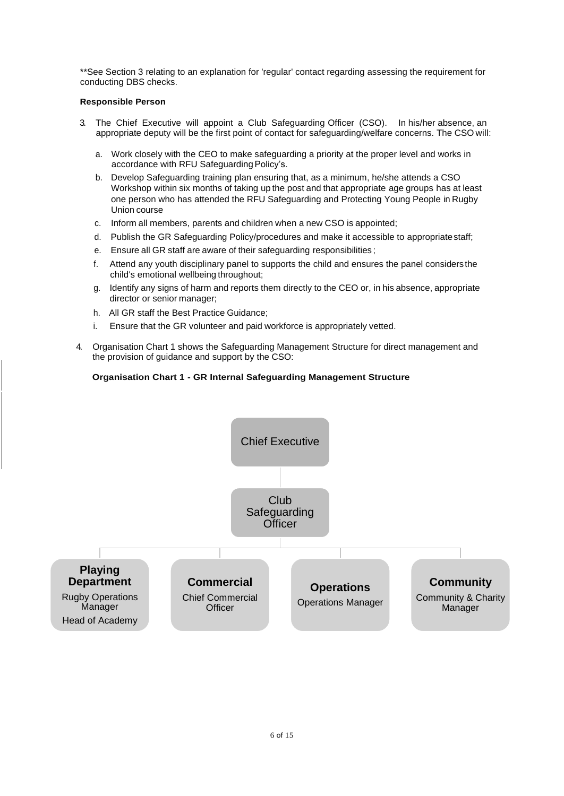\*\*See Section 3 relating to an explanation for 'regular' contact regarding assessing the requirement for conducting DBS checks.

# **Responsible Person**

- 3. The Chief Executive will appoint a Club Safeguarding Officer (CSO). In his/her absence, an appropriate deputy will be the first point of contact for safeguarding/welfare concerns. The CSO will:
	- a. Work closely with the CEO to make safeguarding a priority at the proper level and works in accordance with RFU Safeguarding Policy's.
	- b. Develop Safeguarding training plan ensuring that, as a minimum, he/she attends a CSO Workshop within six months of taking up the post and that appropriate age groups has at least one person who has attended the RFU Safeguarding and Protecting Young People in Rugby Union course
	- c. Inform all members, parents and children when a new CSO is appointed;
	- d. Publish the GR Safeguarding Policy/procedures and make it accessible to appropriatestaff;
	- e. Ensure all GR staff are aware of their safeguarding responsibilities ;
	- f. Attend any youth disciplinary panel to supports the child and ensures the panel considersthe child's emotional wellbeing throughout;
	- g. Identify any signs of harm and reports them directly to the CEO or, in his absence, appropriate director or senior manager;
	- h. All GR staff the Best Practice Guidance;
	- i. Ensure that the GR volunteer and paid workforce is appropriately vetted.
- 4. Organisation Chart 1 shows the Safeguarding Management Structure for direct management and the provision of guidance and support by the CSO:

# **Organisation Chart 1 - GR Internal Safeguarding Management Structure**

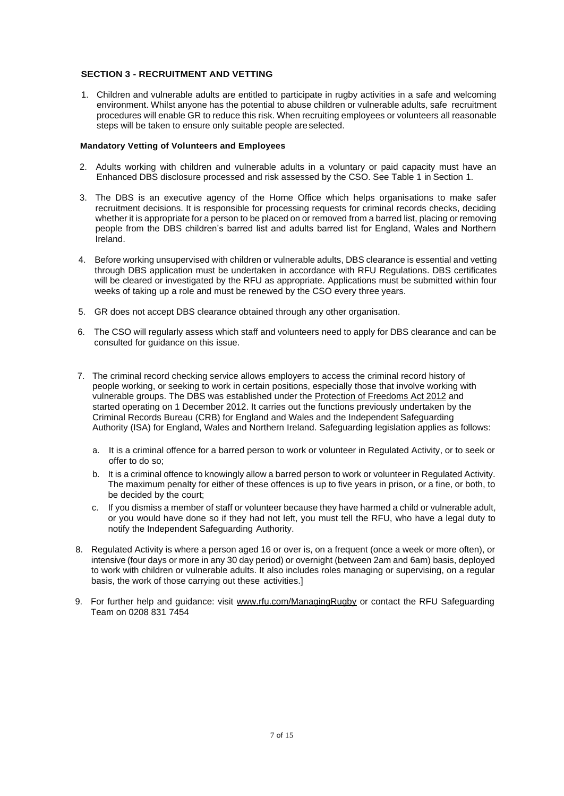# **SECTION 3 - RECRUITMENT AND VETTING**

1. Children and vulnerable adults are entitled to participate in rugby activities in a safe and welcoming environment. Whilst anyone has the potential to abuse children or vulnerable adults, safe recruitment procedures will enable GR to reduce this risk. When recruiting employees or volunteers all reasonable steps will be taken to ensure only suitable people areselected.

# **Mandatory Vetting of Volunteers and Employees**

- 2. Adults working with children and vulnerable adults in a voluntary or paid capacity must have an Enhanced DBS disclosure processed and risk assessed by the CSO. See Table 1 in Section 1.
- 3. The DBS is an executive agency of the Home Office which helps organisations to make safer recruitment decisions. It is responsible for processing requests for criminal records checks, deciding whether it is appropriate for a person to be placed on or removed from a barred list, placing or removing people from the DBS children's barred list and adults barred list for England, Wales and Northern Ireland.
- 4. Before working unsupervised with children or vulnerable adults, DBS clearance is essential and vetting through DBS application must be undertaken in accordance with RFU Regulations. DBS certificates will be cleared or investigated by the RFU as appropriate. Applications must be submitted within four weeks of taking up a role and must be renewed by the CSO every three years.
- 5. GR does not accept DBS clearance obtained through any other organisation.
- 6. The CSO will regularly assess which staff and volunteers need to apply for DBS clearance and can be consulted for guidance on this issue.
- 7. The criminal record checking service allows employers to access the criminal record history of people working, or seeking to work in certain positions, especially those that involve working with vulnerable groups. The DBS was established under the Protection of Freedoms Act 2012 and started operating on 1 December 2012. It carries out the functions previously undertaken by the Criminal Records Bureau (CRB) for England and Wales and the Independent Safeguarding Authority (ISA) for England, Wales and Northern Ireland. Safeguarding legislation applies as follows:
	- a. It is a criminal offence for a barred person to work or volunteer in Regulated Activity, or to seek or offer to do so;
	- b. It is a criminal offence to knowingly allow a barred person to work or volunteer in Regulated Activity. The maximum penalty for either of these offences is up to five years in prison, or a fine, or both, to be decided by the court;
	- c. If you dismiss a member of staff or volunteer because they have harmed a child or vulnerable adult, or you would have done so if they had not left, you must tell the RFU, who have a legal duty to notify the Independent Safeguarding Authority.
- 8. Regulated Activity is where a person aged 16 or over is, on a frequent (once a week or more often), or intensive (four days or more in any 30 day period) or overnight (between 2am and 6am) basis, deployed to work with children or vulnerable adults. It also includes roles managing or supervising, on a regular basis, the work of those carrying out these activities.]
- 9. For further help and guidance: visit [www.rfu.com/ManagingRugby](http://www.rfu.com/ManagingRugby) or contact the RFU Safeguarding Team on 0208 831 7454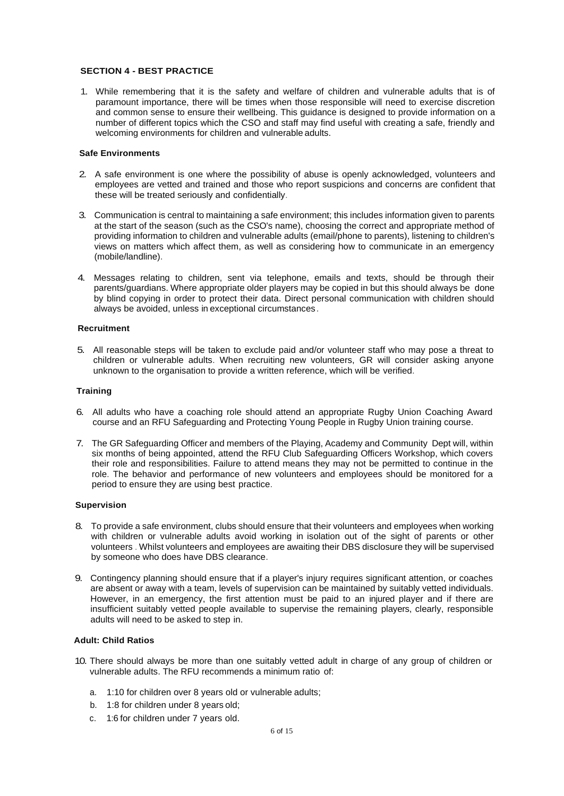#### **SECTION 4 - BEST PRACTICE**

1. While remembering that it is the safety and welfare of children and vulnerable adults that is of paramount importance, there will be times when those responsible will need to exercise discretion and common sense to ensure their wellbeing. This guidance is designed to provide information on a number of different topics which the CSO and staff may find useful with creating a safe, friendly and welcoming environments for children and vulnerable adults.

#### **Safe Environments**

- 2. A safe environment is one where the possibility of abuse is openly acknowledged, volunteers and employees are vetted and trained and those who report suspicions and concerns are confident that these will be treated seriously and confidentially.
- 3. Communication is central to maintaining a safe environment; this includes information given to parents at the start of the season (such as the CSO's name), choosing the correct and appropriate method of providing information to children and vulnerable adults (email/phone to parents), listening to children's views on matters which affect them, as well as considering how to communicate in an emergency (mobile/landline).
- 4. Messages relating to children, sent via telephone, emails and texts, should be through their parents/guardians. Where appropriate older players may be copied in but this should always be done by blind copying in order to protect their data. Direct personal communication with children should always be avoided, unless in exceptional circumstances.

#### **Recruitment**

5. All reasonable steps will be taken to exclude paid and/or volunteer staff who may pose a threat to children or vulnerable adults. When recruiting new volunteers, GR will consider asking anyone unknown to the organisation to provide a written reference, which will be verified.

#### **Training**

- 6. All adults who have a coaching role should attend an appropriate Rugby Union Coaching Award course and an RFU Safeguarding and Protecting Young People in Rugby Union training course.
- 7. The GR Safeguarding Officer and members of the Playing, Academy and Community Dept will, within six months of being appointed, attend the RFU Club Safeguarding Officers Workshop, which covers their role and responsibilities. Failure to attend means they may not be permitted to continue in the role. The behavior and performance of new volunteers and employees should be monitored for a period to ensure they are using best practice.

#### **Supervision**

- 8. To provide a safe environment, clubs should ensure that their volunteers and employees when working with children or vulnerable adults avoid working in isolation out of the sight of parents or other volunteers . Whilst volunteers and employees are awaiting their DBS disclosure they will be supervised by someone who does have DBS clearance.
- 9. Contingency planning should ensure that if a player's injury requires significant attention, or coaches are absent or away with a team, levels of supervision can be maintained by suitably vetted individuals. However, in an emergency, the first attention must be paid to an injured player and if there are insufficient suitably vetted people available to supervise the remaining players, clearly, responsible adults will need to be asked to step in.

#### **Adult: Child Ratios**

- 10. There should always be more than one suitably vetted adult in charge of any group of children or vulnerable adults. The RFU recommends a minimum ratio of:
	- a. 1:10 for children over 8 years old or vulnerable adults;
	- b. 1:8 for children under 8 years old;
	- c. 1:6 for children under 7 years old.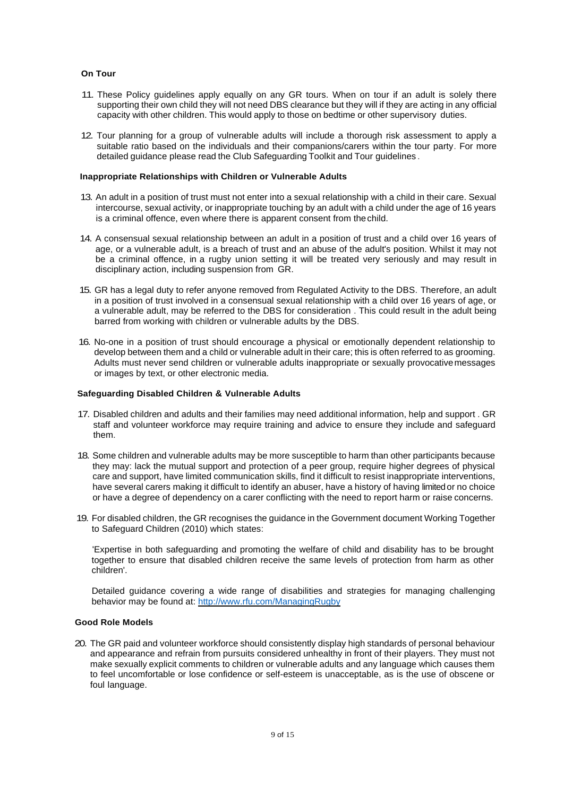#### **On Tour**

- 11. These Policy guidelines apply equally on any GR tours. When on tour if an adult is solely there supporting their own child they will not need DBS clearance but they will if they are acting in any official capacity with other children. This would apply to those on bedtime or other supervisory duties.
- 12. Tour planning for a group of vulnerable adults will include a thorough risk assessment to apply a suitable ratio based on the individuals and their companions/carers within the tour party. For more detailed guidance please read the Club Safeguarding Toolkit and Tour guidelines .

#### **Inappropriate Relationships with Children or Vulnerable Adults**

- 13. An adult in a position of trust must not enter into a sexual relationship with a child in their care. Sexual intercourse, sexual activity, or inappropriate touching by an adult with a child under the age of 16 years is a criminal offence, even where there is apparent consent from thechild.
- 14. A consensual sexual relationship between an adult in a position of trust and a child over 16 years of age, or a vulnerable adult, is a breach of trust and an abuse of the adult's position. Whilst it may not be a criminal offence, in a rugby union setting it will be treated very seriously and may result in disciplinary action, including suspension from GR.
- 15. GR has a legal duty to refer anyone removed from Regulated Activity to the DBS. Therefore, an adult in a position of trust involved in a consensual sexual relationship with a child over 16 years of age, or a vulnerable adult, may be referred to the DBS for consideration . This could result in the adult being barred from working with children or vulnerable adults by the DBS.
- 16. No-one in a position of trust should encourage a physical or emotionally dependent relationship to develop between them and a child or vulnerable adult in their care; this is often referred to as grooming. Adults must never send children or vulnerable adults inappropriate or sexually provocativemessages or images by text, or other electronic media.

#### **Safeguarding Disabled Children & Vulnerable Adults**

- 17. Disabled children and adults and their families may need additional information, help and support . GR staff and volunteer workforce may require training and advice to ensure they include and safeguard them.
- 18. Some children and vulnerable adults may be more susceptible to harm than other participants because they may: lack the mutual support and protection of a peer group, require higher degrees of physical care and support, have limited communication skills, find it difficult to resist inappropriate interventions, have several carers making it difficult to identify an abuser, have a history of having limitedor no choice or have a degree of dependency on a carer conflicting with the need to report harm or raise concerns.
- 19. For disabled children, the GR recognises the guidance in the Government document Working Together to Safeguard Children (2010) which states:

'Expertise in both safeguarding and promoting the welfare of child and disability has to be brought together to ensure that disabled children receive the same levels of protection from harm as other children'.

Detailed guidance covering a wide range of disabilities and strategies for managing challenging behavior may be found at:<http://www.rfu.com/ManagingRugby>

#### **Good Role Models**

20. The GR paid and volunteer workforce should consistently display high standards of personal behaviour and appearance and refrain from pursuits considered unhealthy in front of their players. They must not make sexually explicit comments to children or vulnerable adults and any language which causes them to feel uncomfortable or lose confidence or self-esteem is unacceptable, as is the use of obscene or foul language.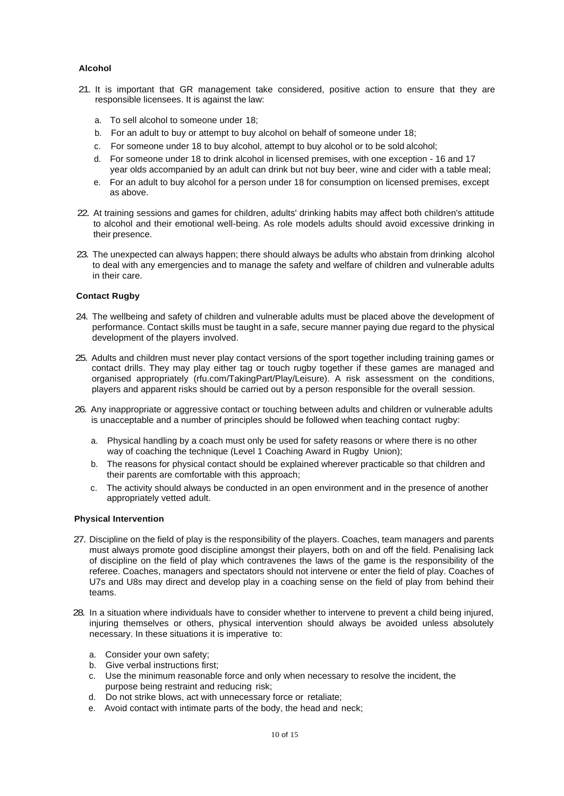# **Alcohol**

- 21. It is important that GR management take considered, positive action to ensure that they are responsible licensees. It is against the law:
	- a. To sell alcohol to someone under 18;
	- b. For an adult to buy or attempt to buy alcohol on behalf of someone under 18;
	- c. For someone under 18 to buy alcohol, attempt to buy alcohol or to be sold alcohol;
	- d. For someone under 18 to drink alcohol in licensed premises, with one exception 16 and 17 year olds accompanied by an adult can drink but not buy beer, wine and cider with a table meal;
	- e. For an adult to buy alcohol for a person under 18 for consumption on licensed premises, except as above.
- 22. At training sessions and games for children, adults' drinking habits may affect both children's attitude to alcohol and their emotional well-being. As role models adults should avoid excessive drinking in their presence.
- 23. The unexpected can always happen; there should always be adults who abstain from drinking alcohol to deal with any emergencies and to manage the safety and welfare of children and vulnerable adults in their care.

# **Contact Rugby**

- 24. The wellbeing and safety of children and vulnerable adults must be placed above the development of performance. Contact skills must be taught in a safe, secure manner paying due regard to the physical development of the players involved.
- 25. Adults and children must never play contact versions of the sport together including training games or contact drills. They may play either tag or touch rugby together if these games are managed and organised appropriately (rfu.com/TakingPart/Play/Leisure). A risk assessment on the conditions, players and apparent risks should be carried out by a person responsible for the overall session.
- 26. Any inappropriate or aggressive contact or touching between adults and children or vulnerable adults is unacceptable and a number of principles should be followed when teaching contact rugby:
	- a. Physical handling by a coach must only be used for safety reasons or where there is no other way of coaching the technique (Level 1 Coaching Award in Rugby Union);
	- b. The reasons for physical contact should be explained wherever practicable so that children and their parents are comfortable with this approach;
	- c. The activity should always be conducted in an open environment and in the presence of another appropriately vetted adult.

#### **Physical Intervention**

- 27. Discipline on the field of play is the responsibility of the players. Coaches, team managers and parents must always promote good discipline amongst their players, both on and off the field. Penalising lack of discipline on the field of play which contravenes the laws of the game is the responsibility of the referee. Coaches, managers and spectators should not intervene or enter the field of play. Coaches of U7s and U8s may direct and develop play in a coaching sense on the field of play from behind their teams.
- 28. In a situation where individuals have to consider whether to intervene to prevent a child being injured, injuring themselves or others, physical intervention should always be avoided unless absolutely necessary. In these situations it is imperative to:
	- a. Consider your own safety;
	- b. Give verbal instructions first;
	- c. Use the minimum reasonable force and only when necessary to resolve the incident, the purpose being restraint and reducing risk;
	- d. Do not strike blows, act with unnecessary force or retaliate;
	- e. Avoid contact with intimate parts of the body, the head and neck;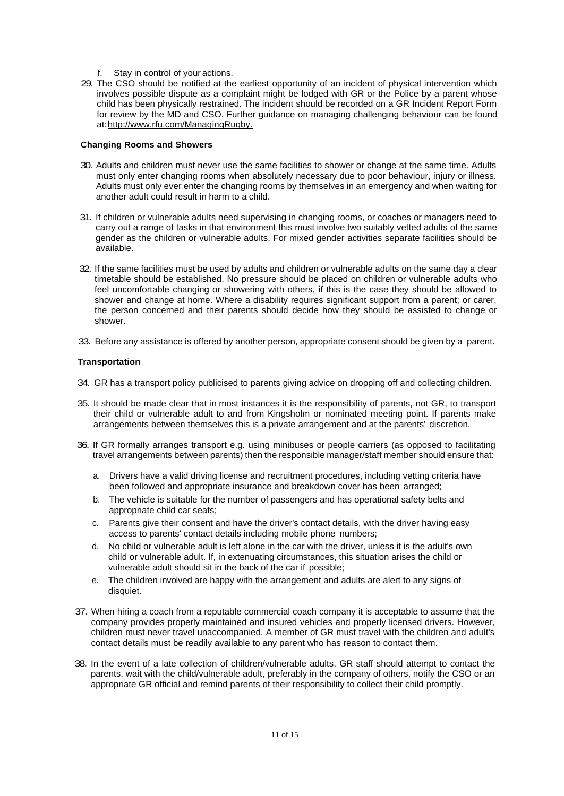- f. Stay in control of your actions.
- 29. The CSO should be notified at the earliest opportunity of an incident of physical intervention which involves possible dispute as a complaint might be lodged with GR or the Police by a parent whose child has been physically restrained. The incident should be recorded on a GR Incident Report Form for review by the MD and CSO. Further guidance on managing challenging behaviour can be found at[:http://www.rfu.com/ManagingRugby.](http://www.rfu.com/ManagingRugby)

#### **Changing Rooms and Showers**

- 30. Adults and children must never use the same facilities to shower or change at the same time. Adults must only enter changing rooms when absolutely necessary due to poor behaviour, injury or illness. Adults must only ever enter the changing rooms by themselves in an emergency and when waiting for another adult could result in harm to a child.
- 31. If children or vulnerable adults need supervising in changing rooms, or coaches or managers need to carry out a range of tasks in that environment this must involve two suitably vetted adults of the same gender as the children or vulnerable adults. For mixed gender activities separate facilities should be available.
- 32. If the same facilities must be used by adults and children or vulnerable adults on the same day a clear timetable should be established. No pressure should be placed on children or vulnerable adults who feel uncomfortable changing or showering with others, if this is the case they should be allowed to shower and change at home. Where a disability requires significant support from a parent; or carer, the person concerned and their parents should decide how they should be assisted to change or shower.
- 33. Before any assistance is offered by another person, appropriate consent should be given by a parent.

# **Transportation**

- 34. GR has a transport policy publicised to parents giving advice on dropping off and collecting children.
- 35. It should be made clear that in most instances it is the responsibility of parents, not GR, to transport their child or vulnerable adult to and from Kingsholm or nominated meeting point. If parents make arrangements between themselves this is a private arrangement and at the parents' discretion.
- 36. If GR formally arranges transport e.g. using minibuses or people carriers (as opposed to facilitating travel arrangements between parents) then the responsible manager/staff member should ensure that:
	- a. Drivers have a valid driving license and recruitment procedures, including vetting criteria have been followed and appropriate insurance and breakdown cover has been arranged;
	- b. The vehicle is suitable for the number of passengers and has operational safety belts and appropriate child car seats;
	- c. Parents give their consent and have the driver's contact details, with the driver having easy access to parents' contact details including mobile phone numbers;
	- d. No child or vulnerable adult is left alone in the car with the driver, unless it is the adult's own child or vulnerable adult. If, in extenuating circumstances, this situation arises the child or vulnerable adult should sit in the back of the car if possible;
	- e. The children involved are happy with the arrangement and adults are alert to any signs of disquiet.
- 37. When hiring a coach from a reputable commercial coach company it is acceptable to assume that the company provides properly maintained and insured vehicles and properly licensed drivers. However, children must never travel unaccompanied. A member of GR must travel with the children and adult's contact details must be readily available to any parent who has reason to contact them.
- 38. In the event of a late collection of children/vulnerable adults, GR staff should attempt to contact the parents, wait with the child/vulnerable adult, preferably in the company of others, notify the CSO or an appropriate GR official and remind parents of their responsibility to collect their child promptly.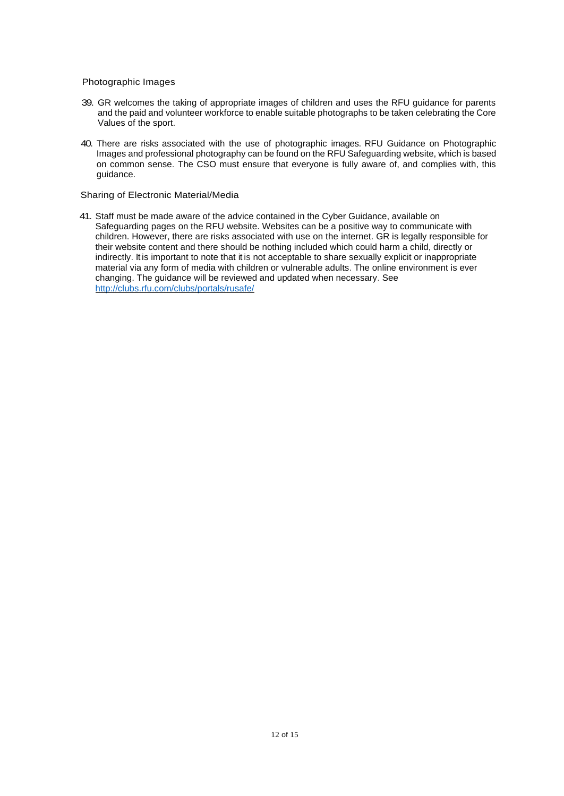Photographic Images

- 39. GR welcomes the taking of appropriate images of children and uses the RFU guidance for parents and the paid and volunteer workforce to enable suitable photographs to be taken celebrating the Core Values of the sport.
- 40. There are risks associated with the use of photographic images. RFU Guidance on Photographic Images and professional photography can be found on the RFU Safeguarding website, which is based on common sense. The CSO must ensure that everyone is fully aware of, and complies with, this guidance.

Sharing of Electronic Material/Media

41. Staff must be made aware of the advice contained in the Cyber Guidance, available on Safeguarding pages on the RFU website. Websites can be a positive way to communicate with children. However, there are risks associated with use on the internet. GR is legally responsible for their website content and there should be nothing included which could harm a child, directly or indirectly. It is important to note that it is not acceptable to share sexually explicit or inappropriate material via any form of media with children or vulnerable adults. The online [environment is ever](http://clubs.rfu.com/clubs/portals/rusafe/)  changing. The guidance will be reviewed and updated when necessary. See <http://clubs.rfu.com/clubs/portals/rusafe/>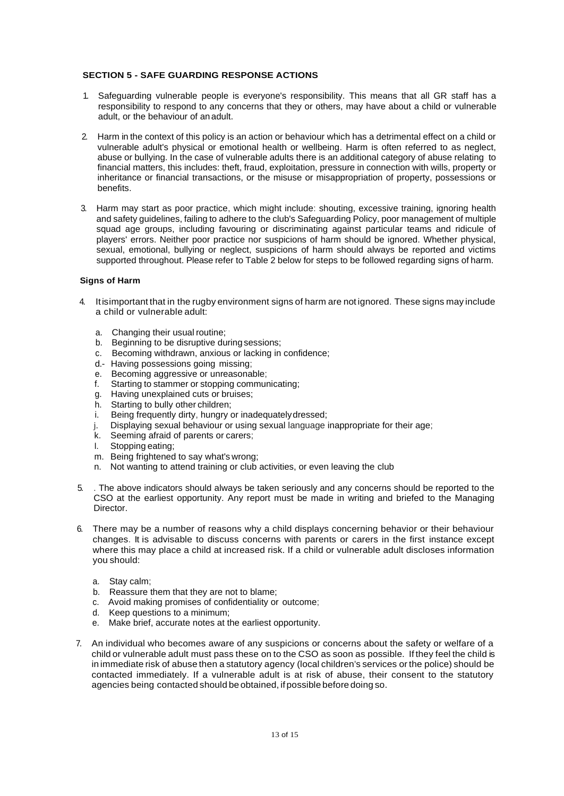# **SECTION 5 - SAFE GUARDING RESPONSE ACTIONS**

- 1. Safeguarding vulnerable people is everyone's responsibility. This means that all GR staff has a responsibility to respond to any concerns that they or others, may have about a child or vulnerable adult, or the behaviour of anadult.
- 2. Harm in the context of this policy is an action or behaviour which has a detrimental effect on a child or vulnerable adult's physical or emotional health or wellbeing. Harm is often referred to as neglect, abuse or bullying. In the case of vulnerable adults there is an additional category of abuse relating to financial matters, this includes: theft, fraud, exploitation, pressure in connection with wills, property or inheritance or financial transactions, or the misuse or misappropriation of property, possessions or benefits.
- 3. Harm may start as poor practice, which might include: shouting, excessive training, ignoring health and safety guidelines, failing to adhere to the club's Safeguarding Policy, poor management of multiple squad age groups, including favouring or discriminating against particular teams and ridicule of players' errors. Neither poor practice nor suspicions of harm should be ignored. Whether physical, sexual, emotional, bullying or neglect, suspicions of harm should always be reported and victims supported throughout. Please refer to Table 2 below for steps to be followed regarding signs of harm.

# **Signs of Harm**

- 4. Itisimportant that in the rugby environment signs of harm are not ignored. These signs may include a child or vulnerable adult:
	- a. Changing their usual routine;
	- b. Beginning to be disruptive during sessions;
	- c. Becoming withdrawn, anxious or lacking in confidence;
	- d.- Having possessions going missing;
	- e. Becoming aggressive or unreasonable;
	- f. Starting to stammer or stopping communicating;
	- g. Having unexplained cuts or bruises;
	- h. Starting to bully other children;
	- i. Being frequently dirty, hungry or inadequatelydressed;
	- j. Displaying sexual behaviour or using sexual language inappropriate for their age;
	- k. Seeming afraid of parents or carers;
	- I. Stopping eating;
	- m. Being frightened to say what's wrong;
	- n. Not wanting to attend training or club activities, or even leaving the club
- 5. . The above indicators should always be taken seriously and any concerns should be reported to the CSO at the earliest opportunity. Any report must be made in writing and briefed to the Managing Director.
- 6. There may be a number of reasons why a child displays concerning behavior or their behaviour changes. It is advisable to discuss concerns with parents or carers in the first instance except where this may place a child at increased risk. If a child or vulnerable adult discloses information you should:
	- a. Stay calm;
	- b. Reassure them that they are not to blame;
	- c. Avoid making promises of confidentiality or outcome;
	- d. Keep questions to a minimum;
	- e. Make brief, accurate notes at the earliest opportunity.
- 7. An individual who becomes aware of any suspicions or concerns about the safety or welfare of a child or vulnerable adult must pass these on to the CSO as soon as possible. If they feel the child is in immediate risk of abuse then a statutory agency (local children's services or the police) should be contacted immediately. If a vulnerable adult is at risk of abuse, their consent to the statutory agencies being contacted should be obtained, if possible beforedoing so.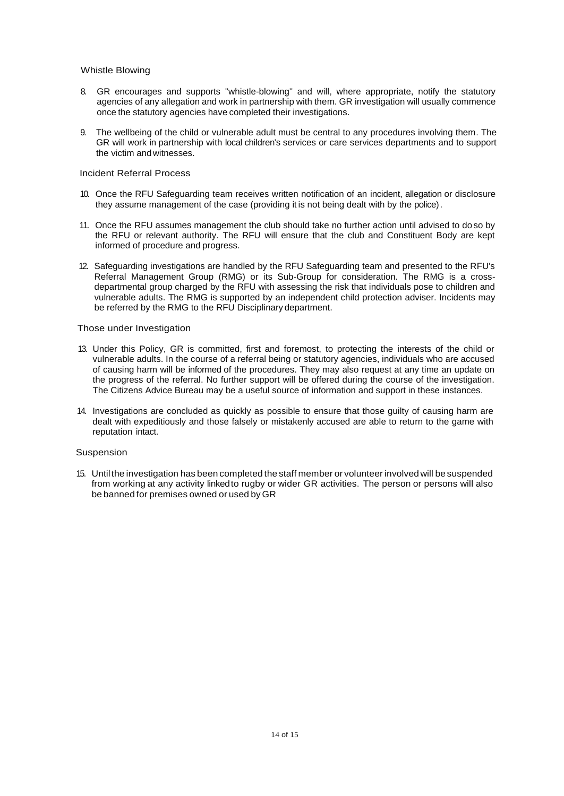#### Whistle Blowing

- 8. GR encourages and supports "whistle-blowing" and will, where appropriate, notify the statutory agencies of any allegation and work in partnership with them. GR investigation will usually commence once the statutory agencies have completed their investigations.
- 9. The wellbeing of the child or vulnerable adult must be central to any procedures involving them. The GR will work in partnership with local children's services or care services departments and to support the victim andwitnesses.

#### Incident Referral Process

- 10. Once the RFU Safeguarding team receives written notification of an incident, allegation or disclosure they assume management of the case (providing it is not being dealt with by the police).
- 11. Once the RFU assumes management the club should take no further action until advised to do so by the RFU or relevant authority. The RFU will ensure that the club and Constituent Body are kept informed of procedure and progress.
- 12. Safeguarding investigations are handled by the RFU Safeguarding team and presented to the RFU's Referral Management Group (RMG) or its Sub-Group for consideration. The RMG is a crossdepartmental group charged by the RFU with assessing the risk that individuals pose to children and vulnerable adults. The RMG is supported by an independent child protection adviser. Incidents may be referred by the RMG to the RFU Disciplinary department.

#### Those under Investigation

- 13. Under this Policy, GR is committed, first and foremost, to protecting the interests of the child or vulnerable adults. In the course of a referral being or statutory agencies, individuals who are accused of causing harm will be informed of the procedures. They may also request at any time an update on the progress of the referral. No further support will be offered during the course of the investigation. The Citizens Advice Bureau may be a useful source of information and support in these instances.
- 14. Investigations are concluded as quickly as possible to ensure that those guilty of causing harm are dealt with expeditiously and those falsely or mistakenly accused are able to return to the game with reputation intact.

#### Suspension

15. Untilthe investigation has been completed the staff member or volunteer involvedwill be suspended from working at any activity linkedto rugby or wider GR activities. The person or persons will also be banned for premises owned or used by GR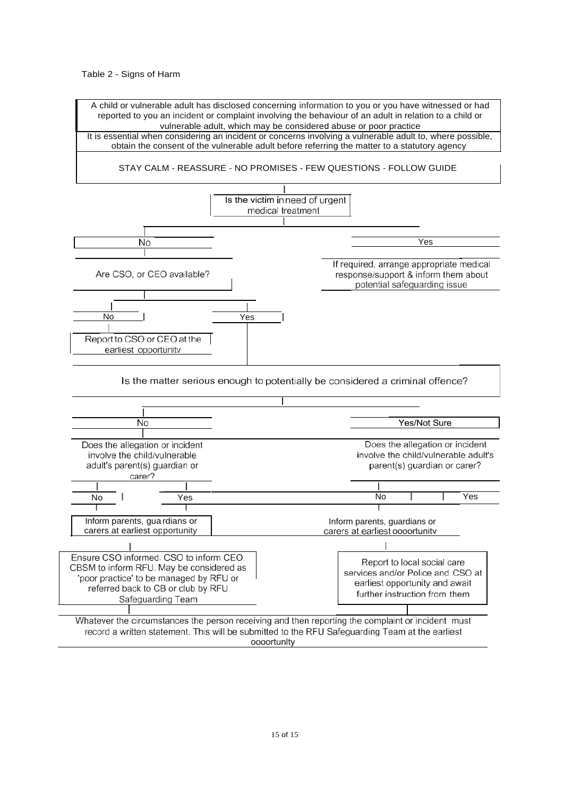Table 2 - Signs of Harm